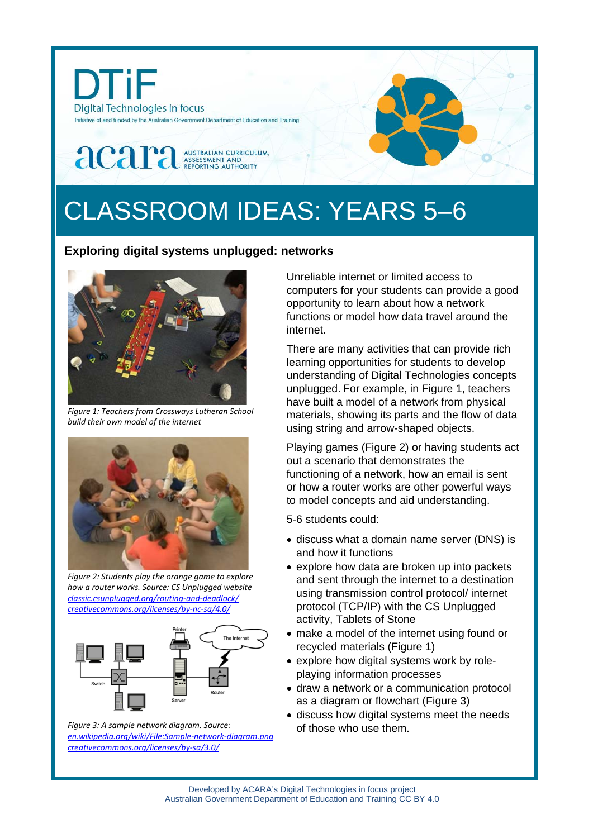

# CLASSROOM IDEAS: YEARS 5–6

## **Exploring digital systems unplugged: networks**



*Figure 1: Teachers from Crossways Lutheran School build their own model of the internet*



*Figure 2: Students play the orange game to explore how a router works. Source: CS Unplugged website [classic.csunplugged.org/routing-and-deadlock/](https://classic.csunplugged.org/routing-and-deadlock/) [creativecommons.org/licenses/by-nc-sa/4.0/](http://creativecommons.org/licenses/by-nc-sa/4.0/)*



*Figure 3: A sample network diagram. Source: [en.wikipedia.org/wiki/File:Sample-network-diagram.png](http://www.en.wikipedia.org/wiki/File:Sample-network-diagram.png) [creativecommons.org/licenses/by-sa/3.0/](http://www.creativecommons.org/licenses/by-sa/3.0/)* 

Unreliable internet or limited access to computers for your students can provide a good opportunity to learn about how a network functions or model how data travel around the internet.

There are many activities that can provide rich learning opportunities for students to develop understanding of Digital Technologies concepts unplugged. For example, in Figure 1, teachers have built a model of a network from physical materials, showing its parts and the flow of data using string and arrow-shaped objects.

Playing games (Figure 2) or having students act out a scenario that demonstrates the functioning of a network, how an email is sent or how a router works are other powerful ways to model concepts and aid understanding.

5-6 students could:

- discuss what a [domain name server](http://cse4k12.blogspot.com/2009/12/how-internet-works-activity-for.html) (DNS) is and how it functions
- explore how data are broken up into packets and sent through the internet to a destination using transmission control protocol/ internet protocol (TCP/IP) with the CS Unplugged activity, Tablets of Stone
- make a model of the internet using found or recycled materials (Figure 1)
- explore how digital systems work by roleplaying information processes
- draw a network or a communication protocol as a diagram or flowchart (Figure 3)
- discuss how digital systems meet the needs of those who use them.